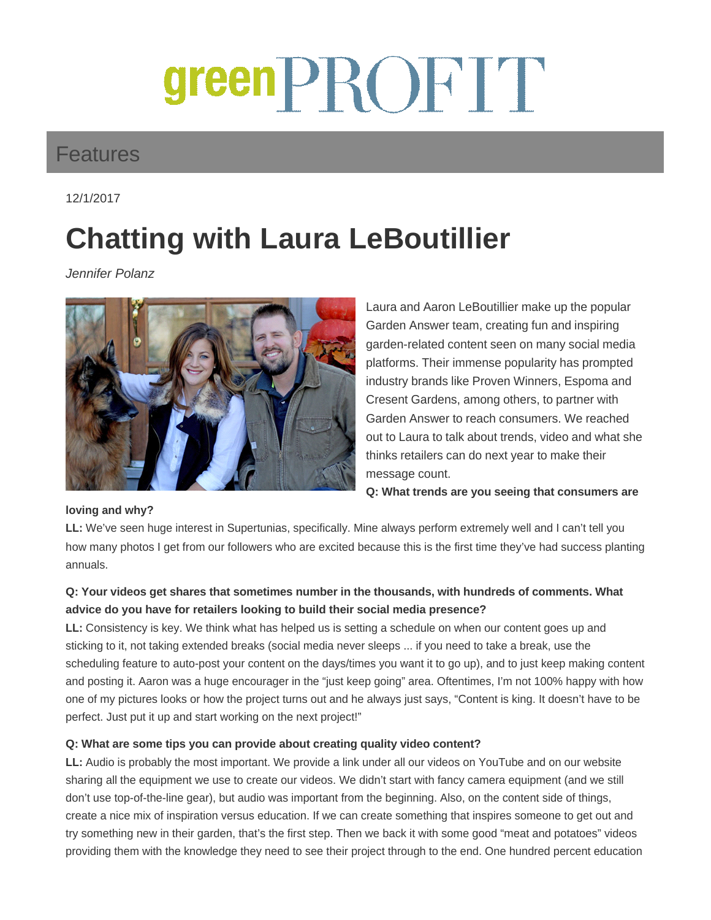# greenPROFIT

### Features

12/1/2017

## **Chatting with Laura LeBoutillier**

Jennifer Polanz



Laura and Aaron LeBoutillier make up the popular Garden Answer team, creating fun and inspiring garden-related content seen on many social media platforms. Their immense popularity has prompted industry brands like Proven Winners, Espoma and Cresent Gardens, among others, to partner with Garden Answer to reach consumers. We reached out to Laura to talk about trends, video and what she thinks retailers can do next year to make their message count.

**Q: What trends are you seeing that consumers are** 

#### **loving and why?**

**LL:** We've seen huge interest in Supertunias, specifically. Mine always perform extremely well and I can't tell you how many photos I get from our followers who are excited because this is the first time they've had success planting annuals.

#### **Q: Your videos get shares that sometimes number in the thousands, with hundreds of comments. What advice do you have for retailers looking to build their social media presence?**

**LL:** Consistency is key. We think what has helped us is setting a schedule on when our content goes up and sticking to it, not taking extended breaks (social media never sleeps ... if you need to take a break, use the scheduling feature to auto-post your content on the days/times you want it to go up), and to just keep making content and posting it. Aaron was a huge encourager in the "just keep going" area. Oftentimes, I'm not 100% happy with how one of my pictures looks or how the project turns out and he always just says, "Content is king. It doesn't have to be perfect. Just put it up and start working on the next project!"

#### **Q: What are some tips you can provide about creating quality video content?**

**LL:** Audio is probably the most important. We provide a link under all our videos on YouTube and on our website sharing all the equipment we use to create our videos. We didn't start with fancy camera equipment (and we still don't use top-of-the-line gear), but audio was important from the beginning. Also, on the content side of things, create a nice mix of inspiration versus education. If we can create something that inspires someone to get out and try something new in their garden, that's the first step. Then we back it with some good "meat and potatoes" videos providing them with the knowledge they need to see their project through to the end. One hundred percent education